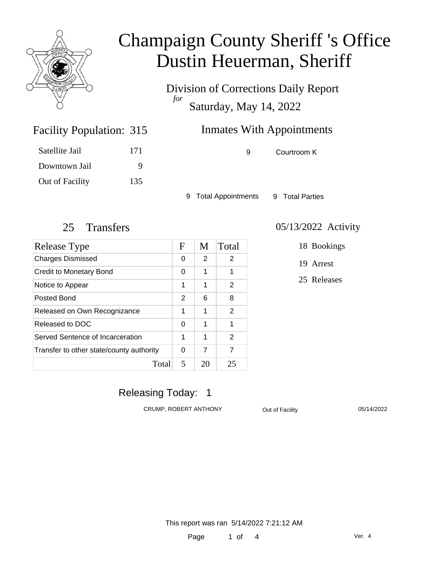

Division of Corrections Daily Report *for* Saturday, May 14, 2022

# Inmates With Appointments

Facility Population: 315 Satellite Jail 171

Downtown Jail 9 Out of Facility 135 9 Courtroom K

9 Total Appointments 9 Total Parties

| Release Type                             | $\mathbf F$ | M  | Total |
|------------------------------------------|-------------|----|-------|
| <b>Charges Dismissed</b>                 | 0           | 2  | 2     |
| Credit to Monetary Bond                  | 0           | 1  | 1     |
| Notice to Appear                         | 1           | 1  | 2     |
| Posted Bond                              | 2           | 6  | 8     |
| Released on Own Recognizance             | 1           | 1  | 2     |
| Released to DOC                          | 0           | 1  | 1     |
| Served Sentence of Incarceration         | 1           | 1  | 2     |
| Transfer to other state/county authority | 0           | 7  | 7     |
| Total                                    | 5           | 20 | 25    |

#### 25 Transfers 05/13/2022 Activity

18 Bookings

19 Arrest

25 Releases

## Releasing Today: 1

CRUMP, ROBERT ANTHONY **Out of Facility** 05/14/2022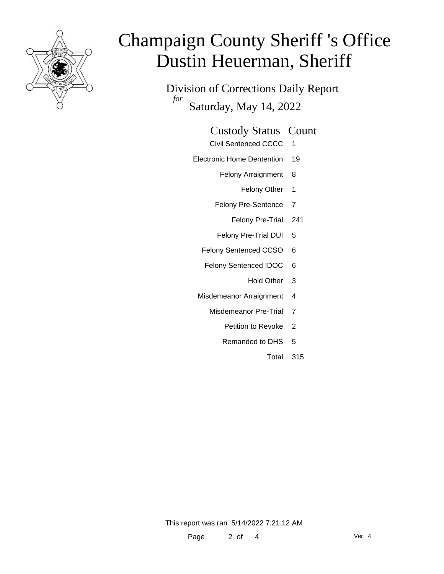

Division of Corrections Daily Report *for* Saturday, May 14, 2022

#### Custody Status Count

- Civil Sentenced CCCC 1
- Electronic Home Dentention 19
	- Felony Arraignment 8
		- Felony Other 1
	- Felony Pre-Sentence 7
		- Felony Pre-Trial 241
	- Felony Pre-Trial DUI 5
	- Felony Sentenced CCSO 6
	- Felony Sentenced IDOC 6
		- Hold Other 3
	- Misdemeanor Arraignment 4
		- Misdemeanor Pre-Trial 7
			- Petition to Revoke 2
			- Remanded to DHS 5
				- Total 315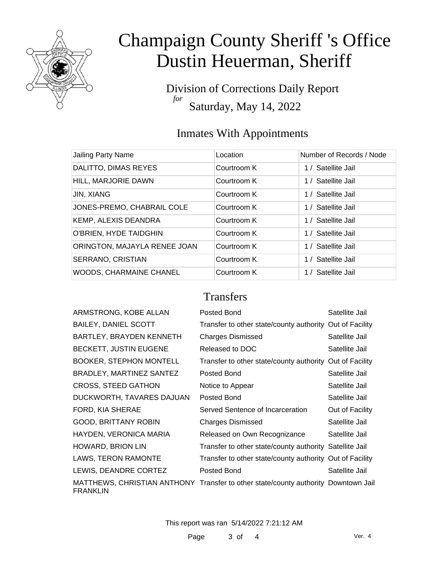

Division of Corrections Daily Report *for* Saturday, May 14, 2022

## Inmates With Appointments

| Jailing Party Name           | Location    | Number of Records / Node |
|------------------------------|-------------|--------------------------|
| DALITTO, DIMAS REYES         | Courtroom K | 1 / Satellite Jail       |
| HILL, MARJORIE DAWN          | Courtroom K | 1 / Satellite Jail       |
| <b>JIN, XIANG</b>            | Courtroom K | 1 / Satellite Jail       |
| JONES-PREMO, CHABRAIL COLE   | Courtroom K | 1 / Satellite Jail       |
| KEMP, ALEXIS DEANDRA         | Courtroom K | 1 / Satellite Jail       |
| O'BRIEN, HYDE TAIDGHIN       | Courtroom K | 1 / Satellite Jail       |
| ORINGTON, MAJAYLA RENEE JOAN | Courtroom K | 1 / Satellite Jail       |
| SERRANO, CRISTIAN            | Courtroom K | 1 / Satellite Jail       |
| WOODS, CHARMAINE CHANEL      | Courtroom K | 1 / Satellite Jail       |

### **Transfers**

| ARMSTRONG, KOBE ALLAN           | Posted Bond                                                                        | Satellite Jail  |
|---------------------------------|------------------------------------------------------------------------------------|-----------------|
| <b>BAILEY, DANIEL SCOTT</b>     | Transfer to other state/county authority Out of Facility                           |                 |
| <b>BARTLEY, BRAYDEN KENNETH</b> | <b>Charges Dismissed</b>                                                           | Satellite Jail  |
| BECKETT, JUSTIN EUGENE          | Released to DOC                                                                    | Satellite Jail  |
| <b>BOOKER, STEPHON MONTELL</b>  | Transfer to other state/county authority Out of Facility                           |                 |
| BRADLEY, MARTINEZ SANTEZ        | Posted Bond                                                                        | Satellite Jail  |
| <b>CROSS, STEED GATHON</b>      | Notice to Appear                                                                   | Satellite Jail  |
| DUCKWORTH, TAVARES DAJUAN       | Posted Bond                                                                        | Satellite Jail  |
| FORD, KIA SHERAE                | Served Sentence of Incarceration                                                   | Out of Facility |
| <b>GOOD, BRITTANY ROBIN</b>     | Charges Dismissed                                                                  | Satellite Jail  |
| HAYDEN, VERONICA MARIA          | Released on Own Recognizance                                                       | Satellite Jail  |
| <b>HOWARD, BRION LIN</b>        | Transfer to other state/county authority Satellite Jail                            |                 |
| LAWS, TERON RAMONTE             | Transfer to other state/county authority Out of Facility                           |                 |
| LEWIS, DEANDRE CORTEZ           | Posted Bond                                                                        | Satellite Jail  |
| <b>FRANKLIN</b>                 | MATTHEWS, CHRISTIAN ANTHONY Transfer to other state/county authority Downtown Jail |                 |